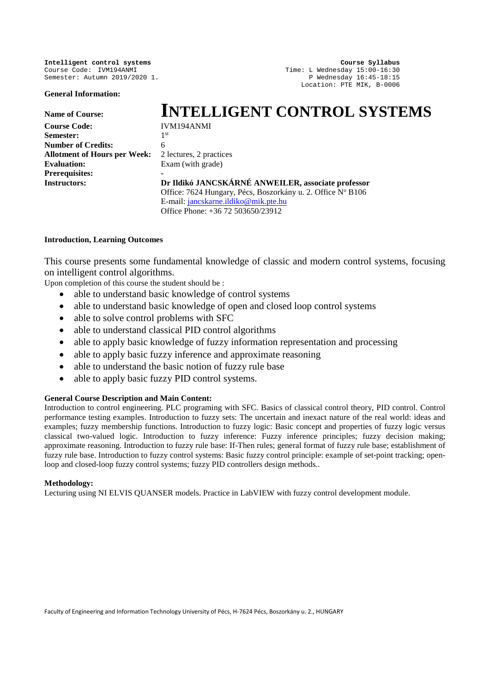**Intelligent control systems Course Syllabus Course Syllabus Course Syllabus Course Syllabus Course Syllabus Course Code:** IVM194ANMI Course Code: IVM194ANMI Time: L Wednesday 15:00-16:30

**General Information:**

Semester: Autumn 2019/2020 1. Physical Semester: Autumn 2019/2020 1. Location: PTE MIK, B-0006

# Name of Course:<br>
Course Code:<br> **INTELLIGENT CONTROL SYSTEMS Course Code:** IVM194ANMI Semester<sup>.</sup> **Number of Credits:** 6 **Allotment of Hours per Week:** 2 lectures, 2 practices **Evaluation:** Exam (with grade) **Prerequisites: - Instructors: Dr Ildikó JANCSKÁRNÉ ANWEILER, associate professor** Office: 7624 Hungary, Pécs, Boszorkány u. 2. Office Nº B106 E-mail: [jancskarne.ildiko@mik.pte.hu](mailto:jancskarne.ildiko@mik.pte.hu) Office Phone: +36 72 503650/23912

### **Introduction, Learning Outcomes**

This course presents some fundamental knowledge of classic and modern control systems, focusing on intelligent control algorithms.

Upon completion of this course the student should be :

- able to understand basic knowledge of control systems
- able to understand basic knowledge of open and closed loop control systems
- able to solve control problems with SFC
- able to understand classical PID control algorithms
- able to apply basic knowledge of fuzzy information representation and processing
- able to apply basic fuzzy inference and approximate reasoning
- able to understand the basic notion of fuzzy rule base
- able to apply basic fuzzy PID control systems.

### **General Course Description and Main Content:**

Introduction to control engineering. PLC programing with SFC. Basics of classical control theory, PID control. Control performance testing examples. Introduction to fuzzy sets: The uncertain and inexact nature of the real world: ideas and examples; fuzzy membership functions. Introduction to fuzzy logic: Basic concept and properties of fuzzy logic versus classical two-valued logic. Introduction to fuzzy inference: Fuzzy inference principles; fuzzy decision making; approximate reasoning. Introduction to fuzzy rule base: If-Then rules; general format of fuzzy rule base; establishment of fuzzy rule base. Introduction to fuzzy control systems: Basic fuzzy control principle: example of set-point tracking; openloop and closed-loop fuzzy control systems; fuzzy PID controllers design methods..

#### **Methodology:**

Lecturing using NI ELVIS QUANSER models. Practice in LabVIEW with fuzzy control development module.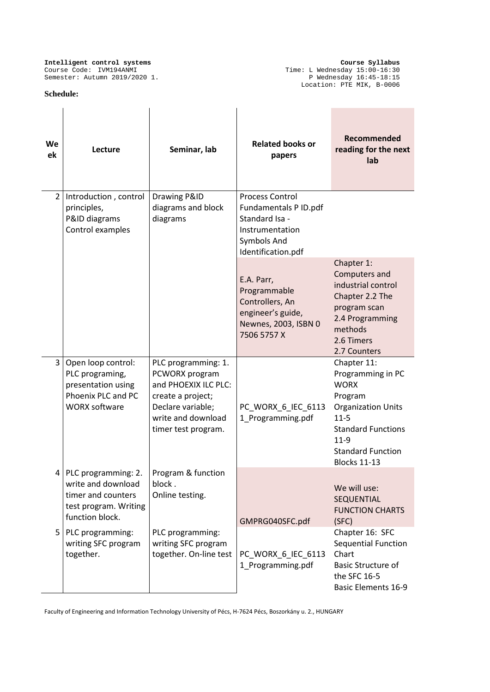#### **Schedule:**

**Intelligent control systems Course Syllabus** Course Code: IVM194ANMI Time: L Wednesday 15:00-16:30 Semester: Autumn 2019/2020 1. Physical Semester: Autumn 2019/2020 1. Location: PTE MIK, B-0006

| We<br>ek | Lecture                                                                                                     | Seminar, lab                                                                                                                                         | <b>Related books or</b><br>papers                                                                                         | Recommended<br>reading for the next<br>lab                                                                                                                                                      |
|----------|-------------------------------------------------------------------------------------------------------------|------------------------------------------------------------------------------------------------------------------------------------------------------|---------------------------------------------------------------------------------------------------------------------------|-------------------------------------------------------------------------------------------------------------------------------------------------------------------------------------------------|
|          | 2   Introduction, control<br>principles,<br>P&ID diagrams<br>Control examples                               | Drawing P&ID<br>diagrams and block<br>diagrams                                                                                                       | <b>Process Control</b><br>Fundamentals P ID.pdf<br>Standard Isa -<br>Instrumentation<br>Symbols And<br>Identification.pdf |                                                                                                                                                                                                 |
|          |                                                                                                             |                                                                                                                                                      | E.A. Parr,<br>Programmable<br>Controllers, An<br>engineer's guide,<br>Newnes, 2003, ISBN 0<br>7506 5757 X                 | Chapter 1:<br>Computers and<br>industrial control<br>Chapter 2.2 The<br>program scan<br>2.4 Programming<br>methods<br>2.6 Timers<br>2.7 Counters                                                |
| 3        | Open loop control:<br>PLC programing,<br>presentation using<br>Phoenix PLC and PC<br><b>WORX software</b>   | PLC programming: 1.<br>PCWORX program<br>and PHOEXIX ILC PLC:<br>create a project;<br>Declare variable;<br>write and download<br>timer test program. | PC_WORX_6_IEC_6113<br>1_Programming.pdf                                                                                   | Chapter 11:<br>Programming in PC<br><b>WORX</b><br>Program<br><b>Organization Units</b><br>$11 - 5$<br><b>Standard Functions</b><br>$11 - 9$<br><b>Standard Function</b><br><b>Blocks 11-13</b> |
|          | PLC programming: 2.<br>write and download<br>timer and counters<br>test program. Writing<br>function block. | Program & function<br>block.<br>Online testing.                                                                                                      | GMPRG040SFC.pdf                                                                                                           | We will use:<br><b>SEQUENTIAL</b><br><b>FUNCTION CHARTS</b><br>(SFC)                                                                                                                            |
| 5        | PLC programming:<br>writing SFC program<br>together.                                                        | PLC programming:<br>writing SFC program<br>together. On-line test                                                                                    | PC_WORX_6_IEC_6113<br>1 Programming.pdf                                                                                   | Chapter 16: SFC<br>Sequential Function<br>Chart<br><b>Basic Structure of</b><br>the SFC 16-5<br><b>Basic Elements 16-9</b>                                                                      |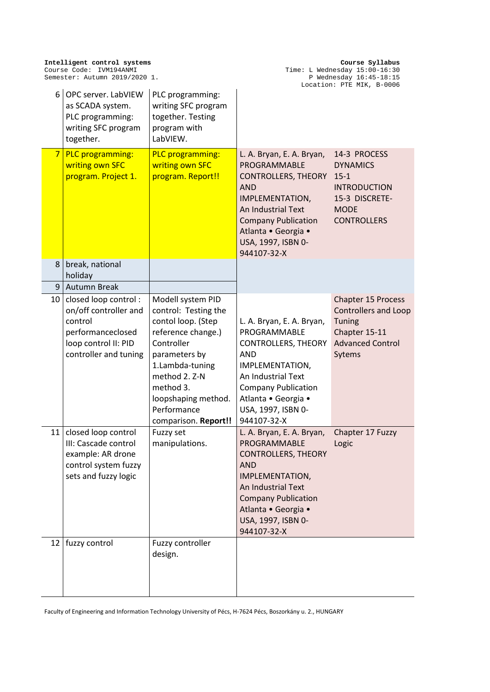| 6               | OPC server. LabVIEW<br>as SCADA system.<br>PLC programming:<br>writing SFC program<br>together.                                | PLC programming:<br>writing SFC program<br>together. Testing<br>program with<br>LabVIEW.                                                                                                                                            |                                                                                                                                                                                                                          | LOCATION: PTE MIK, B-UUU6                                                                                                       |
|-----------------|--------------------------------------------------------------------------------------------------------------------------------|-------------------------------------------------------------------------------------------------------------------------------------------------------------------------------------------------------------------------------------|--------------------------------------------------------------------------------------------------------------------------------------------------------------------------------------------------------------------------|---------------------------------------------------------------------------------------------------------------------------------|
| $\overline{7}$  | PLC programming:<br>writing own SFC<br>program. Project 1.                                                                     | <b>PLC programming:</b><br>writing own SFC<br>program. Report!!                                                                                                                                                                     | L. A. Bryan, E. A. Bryan,<br>PROGRAMMABLE<br><b>CONTROLLERS, THEORY</b><br><b>AND</b><br>IMPLEMENTATION,<br>An Industrial Text<br><b>Company Publication</b><br>Atlanta · Georgia ·<br>USA, 1997, ISBN 0-<br>944107-32-X | 14-3 PROCESS<br><b>DYNAMICS</b><br>$15 - 1$<br><b>INTRODUCTION</b><br>15-3 DISCRETE-<br><b>MODE</b><br><b>CONTROLLERS</b>       |
| 8               | break, national<br>holiday                                                                                                     |                                                                                                                                                                                                                                     |                                                                                                                                                                                                                          |                                                                                                                                 |
| 9               | <b>Autumn Break</b>                                                                                                            |                                                                                                                                                                                                                                     |                                                                                                                                                                                                                          |                                                                                                                                 |
| 10              | closed loop control:<br>on/off controller and<br>control<br>performanceclosed<br>loop control II: PID<br>controller and tuning | Modell system PID<br>control: Testing the<br>contol loop. (Step<br>reference change.)<br>Controller<br>parameters by<br>1.Lambda-tuning<br>method 2. Z-N<br>method 3.<br>loopshaping method.<br>Performance<br>comparison. Report!! | L. A. Bryan, E. A. Bryan,<br>PROGRAMMABLE<br><b>CONTROLLERS, THEORY</b><br><b>AND</b><br>IMPLEMENTATION,<br>An Industrial Text<br><b>Company Publication</b><br>Atlanta · Georgia ·<br>USA, 1997, ISBN 0-<br>944107-32-X | <b>Chapter 15 Process</b><br><b>Controllers and Loop</b><br><b>Tuning</b><br>Chapter 15-11<br><b>Advanced Control</b><br>Sytems |
| 11              | closed loop control<br>III: Cascade control<br>example: AR drone<br>control system fuzzy<br>sets and fuzzy logic               | Fuzzy set<br>manipulations.                                                                                                                                                                                                         | L. A. Bryan, E. A. Bryan,<br>PROGRAMMABLE<br><b>CONTROLLERS, THEORY</b><br><b>AND</b><br>IMPLEMENTATION,<br>An Industrial Text<br><b>Company Publication</b><br>Atlanta · Georgia ·<br>USA, 1997, ISBN 0-<br>944107-32-X | Chapter 17 Fuzzy<br>Logic                                                                                                       |
| 12 <sub>1</sub> | fuzzy control                                                                                                                  | Fuzzy controller<br>design.                                                                                                                                                                                                         |                                                                                                                                                                                                                          |                                                                                                                                 |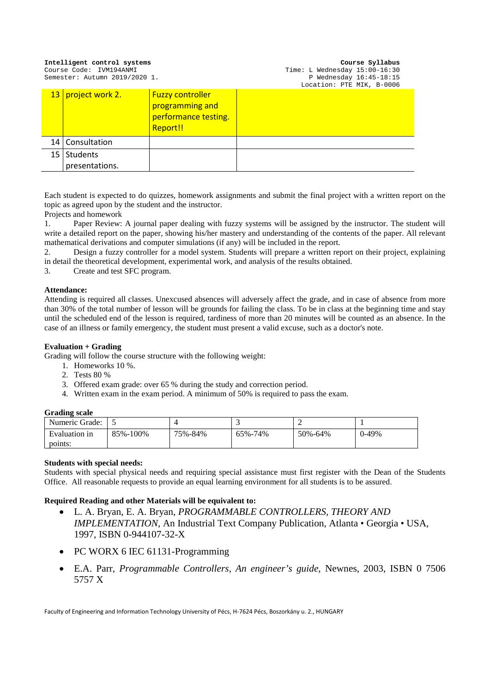| Intelligent control systems<br>Course Code: IVM194ANMI<br>Semester: Autumn 2019/2020 1. |                      |                                                                                | Course Syllabus<br>Time: L Wednesday 15:00-16:30<br>P Wednesday $16:45-18:15$<br>Location: PTE MIK, B-0006 |  |  |
|-----------------------------------------------------------------------------------------|----------------------|--------------------------------------------------------------------------------|------------------------------------------------------------------------------------------------------------|--|--|
|                                                                                         | 13   project work 2. | <b>Fuzzy controller</b><br>programming and<br>performance testing.<br>Report!! |                                                                                                            |  |  |
|                                                                                         | 14   Consultation    |                                                                                |                                                                                                            |  |  |
| 15 <sub>1</sub>                                                                         | <b>Students</b>      |                                                                                |                                                                                                            |  |  |
|                                                                                         | presentations.       |                                                                                |                                                                                                            |  |  |

Each student is expected to do quizzes, homework assignments and submit the final project with a written report on the topic as agreed upon by the student and the instructor.

Projects and homework

1. Paper Review: A journal paper dealing with fuzzy systems will be assigned by the instructor. The student will write a detailed report on the paper, showing his/her mastery and understanding of the contents of the paper. All relevant mathematical derivations and computer simulations (if any) will be included in the report.

2. Design a fuzzy controller for a model system. Students will prepare a written report on their project, explaining in detail the theoretical development, experimental work, and analysis of the results obtained.

3. Create and test SFC program.

### **Attendance:**

Attending is required all classes. Unexcused absences will adversely affect the grade, and in case of absence from more than 30% of the total number of lesson will be grounds for failing the class. To be in class at the beginning time and stay until the scheduled end of the lesson is required, tardiness of more than 20 minutes will be counted as an absence. In the case of an illness or family emergency, the student must present a valid excuse, such as a doctor's note.

## **Evaluation + Grading**

Grading will follow the course structure with the following weight:

- 1. Homeworks 10 %.
- 2. Tests 80 %
- 3. Offered exam grade: over 65 % during the study and correction period.
- 4. Written exam in the exam period. A minimum of 50% is required to pass the exam.

#### **Grading scale**

| Numeric Grade: | ັ        |         |         |         |       |
|----------------|----------|---------|---------|---------|-------|
| Evaluation in  | 85%-100% | 75%-84% | 65%-74% | 50%-64% | 0-49% |
| points:        |          |         |         |         |       |

#### **Students with special needs:**

Students with special physical needs and requiring special assistance must first register with the Dean of the Students Office. All reasonable requests to provide an equal learning environment for all students is to be assured.

### **Required Reading and other Materials will be equivalent to:**

- L. A. Bryan, E. A. Bryan, *PROGRAMMABLE CONTROLLERS, THEORY AND IMPLEMENTATION,* An Industrial Text Company Publication, Atlanta • Georgia • USA, 1997, ISBN 0-944107-32-X
- PC WORX 6 IEC 61131-Programming
- E.A. Parr, *Programmable Controllers, An engineer's guide*, Newnes, 2003, ISBN 0 7506 5757 X